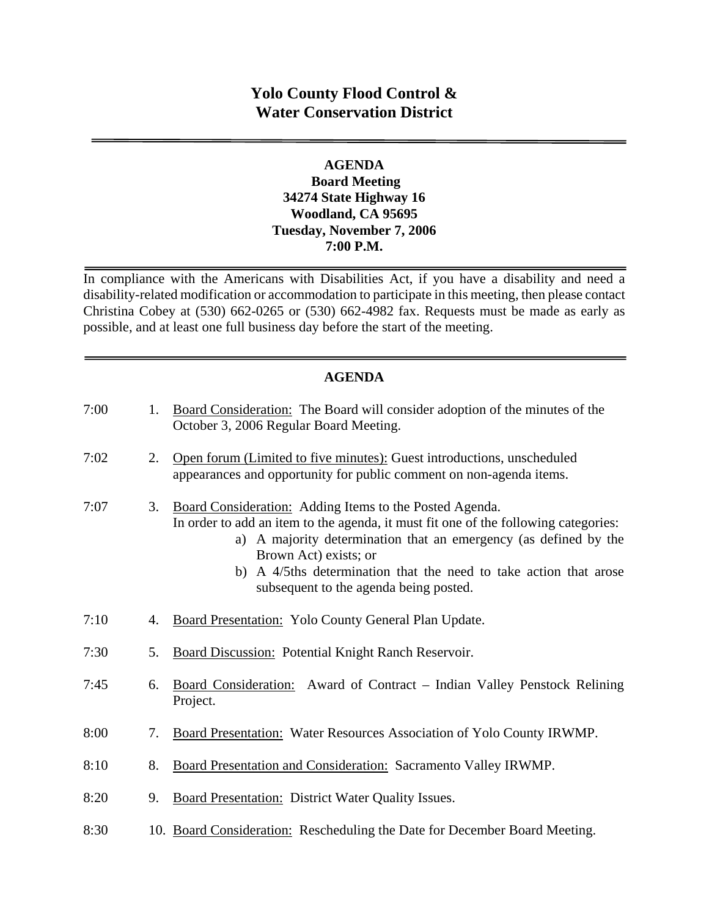## **Yolo County Flood Control & Water Conservation District**

#### **AGENDA Board Meeting 34274 State Highway 16 Woodland, CA 95695 Tuesday, November 7, 2006 7:00 P.M.**

In compliance with the Americans with Disabilities Act, if you have a disability and need a disability-related modification or accommodation to participate in this meeting, then please contact Christina Cobey at (530) 662-0265 or (530) 662-4982 fax. Requests must be made as early as possible, and at least one full business day before the start of the meeting.

### **AGENDA**

| 7:00 | 1. | Board Consideration: The Board will consider adoption of the minutes of the<br>October 3, 2006 Regular Board Meeting.                                                                                                                                                                                                                                         |
|------|----|---------------------------------------------------------------------------------------------------------------------------------------------------------------------------------------------------------------------------------------------------------------------------------------------------------------------------------------------------------------|
| 7:02 | 2. | Open forum (Limited to five minutes): Guest introductions, unscheduled<br>appearances and opportunity for public comment on non-agenda items.                                                                                                                                                                                                                 |
| 7:07 | 3. | Board Consideration: Adding Items to the Posted Agenda.<br>In order to add an item to the agenda, it must fit one of the following categories:<br>a) A majority determination that an emergency (as defined by the<br>Brown Act) exists; or<br>A 4/5ths determination that the need to take action that arose<br>b)<br>subsequent to the agenda being posted. |
| 7:10 | 4. | Board Presentation: Yolo County General Plan Update.                                                                                                                                                                                                                                                                                                          |
| 7:30 | 5. | Board Discussion: Potential Knight Ranch Reservoir.                                                                                                                                                                                                                                                                                                           |
| 7:45 | 6. | Board Consideration: Award of Contract – Indian Valley Penstock Relining<br>Project.                                                                                                                                                                                                                                                                          |
| 8:00 | 7. | Board Presentation: Water Resources Association of Yolo County IRWMP.                                                                                                                                                                                                                                                                                         |
| 8:10 | 8. | Board Presentation and Consideration: Sacramento Valley IRWMP.                                                                                                                                                                                                                                                                                                |
| 8:20 | 9. | <b>Board Presentation: District Water Quality Issues.</b>                                                                                                                                                                                                                                                                                                     |
| 8:30 |    | 10. Board Consideration: Rescheduling the Date for December Board Meeting.                                                                                                                                                                                                                                                                                    |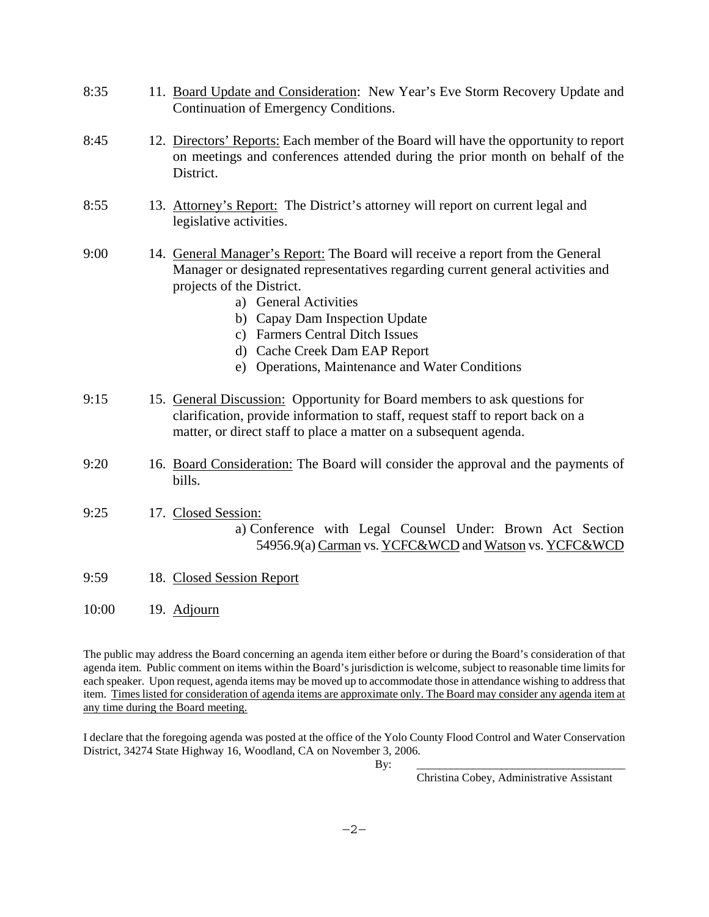| 8:35 | 11. Board Update and Consideration: New Year's Eve Storm Recovery Update and<br>Continuation of Emergency Conditions.                                                                                                                                                                                                                                                              |
|------|------------------------------------------------------------------------------------------------------------------------------------------------------------------------------------------------------------------------------------------------------------------------------------------------------------------------------------------------------------------------------------|
| 8:45 | 12. Directors' Reports: Each member of the Board will have the opportunity to report<br>on meetings and conferences attended during the prior month on behalf of the<br>District.                                                                                                                                                                                                  |
| 8:55 | 13. Attorney's Report: The District's attorney will report on current legal and<br>legislative activities.                                                                                                                                                                                                                                                                         |
| 9:00 | 14. General Manager's Report: The Board will receive a report from the General<br>Manager or designated representatives regarding current general activities and<br>projects of the District.<br>a) General Activities<br>b) Capay Dam Inspection Update<br>c) Farmers Central Ditch Issues<br>d) Cache Creek Dam EAP Report<br>Operations, Maintenance and Water Conditions<br>e) |
| 9:15 | 15. General Discussion: Opportunity for Board members to ask questions for<br>clarification, provide information to staff, request staff to report back on a<br>matter, or direct staff to place a matter on a subsequent agenda.                                                                                                                                                  |
| 9:20 | 16. Board Consideration: The Board will consider the approval and the payments of<br>bills.                                                                                                                                                                                                                                                                                        |
| 9:25 | 17. Closed Session:<br>a) Conference with Legal Counsel Under: Brown Act Section<br>54956.9(a) Carman vs. YCFC&WCD and Watson vs. YCFC&WCD                                                                                                                                                                                                                                         |
| 9:59 | 18. Closed Session Report                                                                                                                                                                                                                                                                                                                                                          |

10:00 19. Adjourn

The public may address the Board concerning an agenda item either before or during the Board's consideration of that agenda item. Public comment on items within the Board's jurisdiction is welcome, subject to reasonable time limits for each speaker. Upon request, agenda items may be moved up to accommodate those in attendance wishing to address that item. Times listed for consideration of agenda items are approximate only. The Board may consider any agenda item at any time during the Board meeting.

I declare that the foregoing agenda was posted at the office of the Yolo County Flood Control and Water Conservation District, 34274 State Highway 16, Woodland, CA on November 3, 2006.

By: \_\_\_\_\_\_\_\_\_\_\_\_\_\_\_\_\_\_\_\_\_\_\_\_\_\_\_\_\_\_\_\_\_\_\_\_\_

Christina Cobey, Administrative Assistant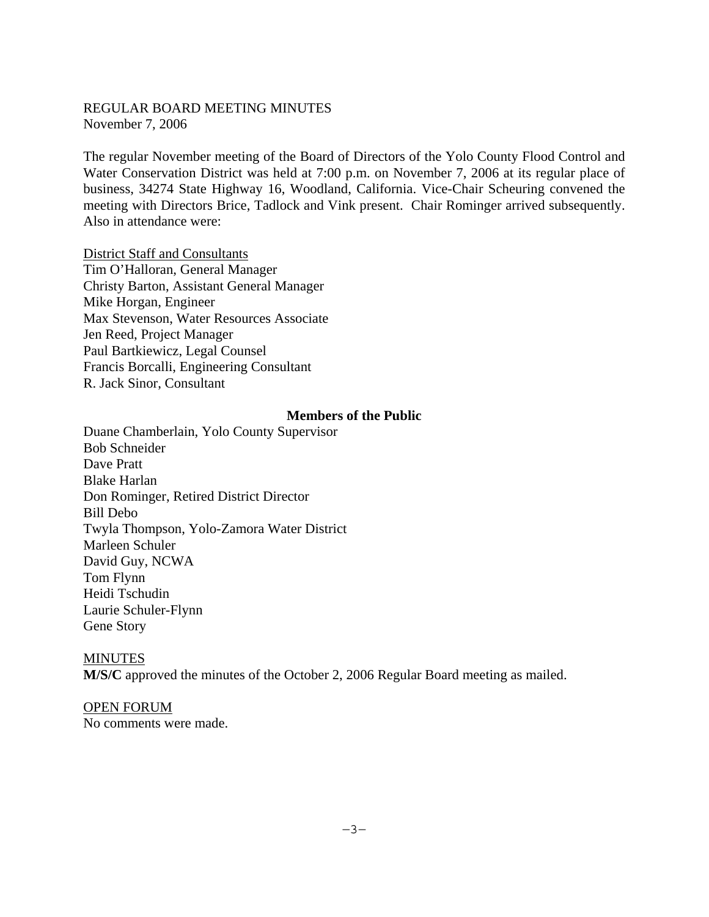#### REGULAR BOARD MEETING MINUTES November 7, 2006

The regular November meeting of the Board of Directors of the Yolo County Flood Control and Water Conservation District was held at 7:00 p.m. on November 7, 2006 at its regular place of business, 34274 State Highway 16, Woodland, California. Vice-Chair Scheuring convened the meeting with Directors Brice, Tadlock and Vink present. Chair Rominger arrived subsequently. Also in attendance were:

District Staff and Consultants Tim O'Halloran, General Manager Christy Barton, Assistant General Manager Mike Horgan, Engineer Max Stevenson, Water Resources Associate Jen Reed, Project Manager Paul Bartkiewicz, Legal Counsel Francis Borcalli, Engineering Consultant R. Jack Sinor, Consultant

#### **Members of the Public**

Duane Chamberlain, Yolo County Supervisor Bob Schneider Dave Pratt Blake Harlan Don Rominger, Retired District Director Bill Debo Twyla Thompson, Yolo-Zamora Water District Marleen Schuler David Guy, NCWA Tom Flynn Heidi Tschudin Laurie Schuler-Flynn Gene Story

### MINUTES **M/S/C** approved the minutes of the October 2, 2006 Regular Board meeting as mailed.

# OPEN FORUM

No comments were made.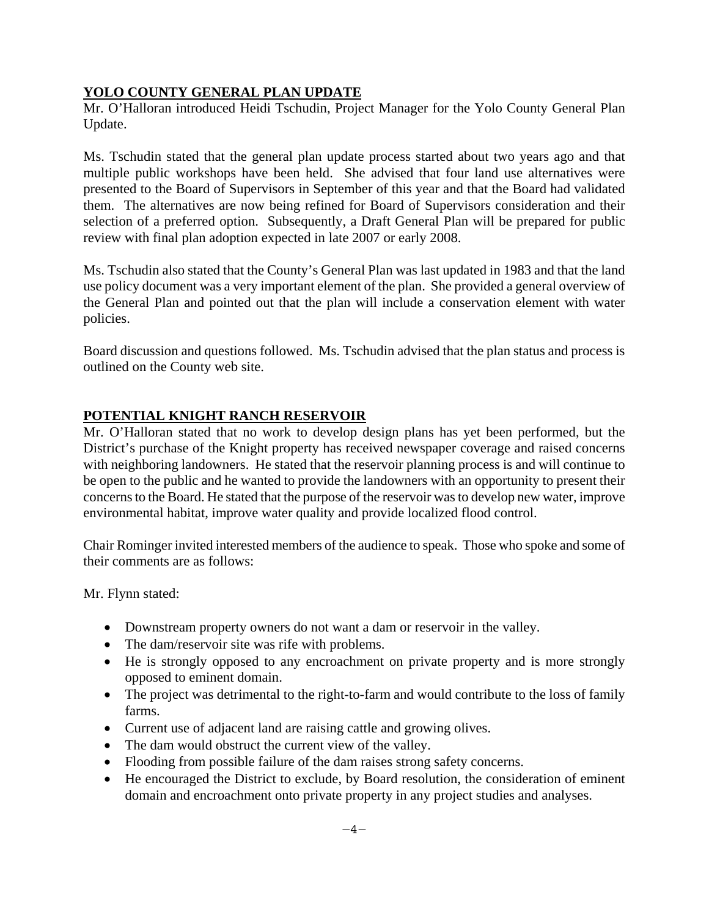### **YOLO COUNTY GENERAL PLAN UPDATE**

Mr. O'Halloran introduced Heidi Tschudin, Project Manager for the Yolo County General Plan Update.

Ms. Tschudin stated that the general plan update process started about two years ago and that multiple public workshops have been held. She advised that four land use alternatives were presented to the Board of Supervisors in September of this year and that the Board had validated them. The alternatives are now being refined for Board of Supervisors consideration and their selection of a preferred option. Subsequently, a Draft General Plan will be prepared for public review with final plan adoption expected in late 2007 or early 2008.

Ms. Tschudin also stated that the County's General Plan was last updated in 1983 and that the land use policy document was a very important element of the plan. She provided a general overview of the General Plan and pointed out that the plan will include a conservation element with water policies.

Board discussion and questions followed. Ms. Tschudin advised that the plan status and process is outlined on the County web site.

### **POTENTIAL KNIGHT RANCH RESERVOIR**

Mr. O'Halloran stated that no work to develop design plans has yet been performed, but the District's purchase of the Knight property has received newspaper coverage and raised concerns with neighboring landowners. He stated that the reservoir planning process is and will continue to be open to the public and he wanted to provide the landowners with an opportunity to present their concerns to the Board. He stated that the purpose of the reservoir was to develop new water, improve environmental habitat, improve water quality and provide localized flood control.

Chair Rominger invited interested members of the audience to speak. Those who spoke and some of their comments are as follows:

Mr. Flynn stated:

- Downstream property owners do not want a dam or reservoir in the valley.
- The dam/reservoir site was rife with problems.
- He is strongly opposed to any encroachment on private property and is more strongly opposed to eminent domain.
- The project was detrimental to the right-to-farm and would contribute to the loss of family farms.
- Current use of adjacent land are raising cattle and growing olives.
- The dam would obstruct the current view of the valley.
- Flooding from possible failure of the dam raises strong safety concerns.
- He encouraged the District to exclude, by Board resolution, the consideration of eminent domain and encroachment onto private property in any project studies and analyses.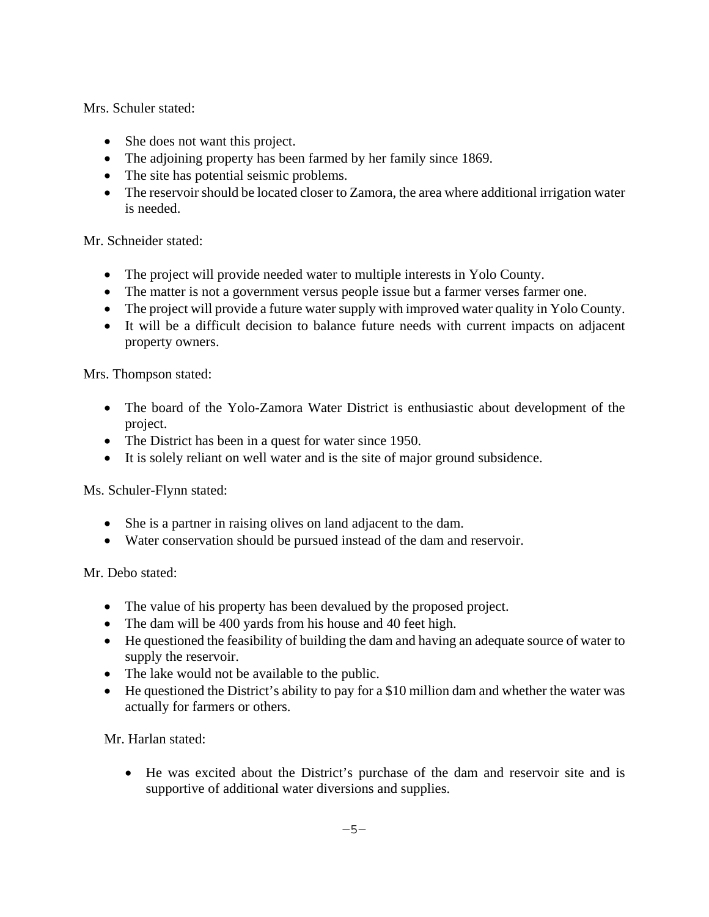Mrs. Schuler stated:

- She does not want this project.
- The adjoining property has been farmed by her family since 1869.
- The site has potential seismic problems.
- The reservoir should be located closer to Zamora, the area where additional irrigation water is needed.

Mr. Schneider stated:

- The project will provide needed water to multiple interests in Yolo County.
- The matter is not a government versus people issue but a farmer verses farmer one.
- The project will provide a future water supply with improved water quality in Yolo County.
- It will be a difficult decision to balance future needs with current impacts on adjacent property owners.

Mrs. Thompson stated:

- The board of the Yolo-Zamora Water District is enthusiastic about development of the project.
- The District has been in a quest for water since 1950.
- It is solely reliant on well water and is the site of major ground subsidence.

Ms. Schuler-Flynn stated:

- She is a partner in raising olives on land adjacent to the dam.
- Water conservation should be pursued instead of the dam and reservoir.

Mr. Debo stated:

- The value of his property has been devalued by the proposed project.
- The dam will be 400 yards from his house and 40 feet high.
- He questioned the feasibility of building the dam and having an adequate source of water to supply the reservoir.
- The lake would not be available to the public.
- He questioned the District's ability to pay for a \$10 million dam and whether the water was actually for farmers or others.

Mr. Harlan stated:

 He was excited about the District's purchase of the dam and reservoir site and is supportive of additional water diversions and supplies.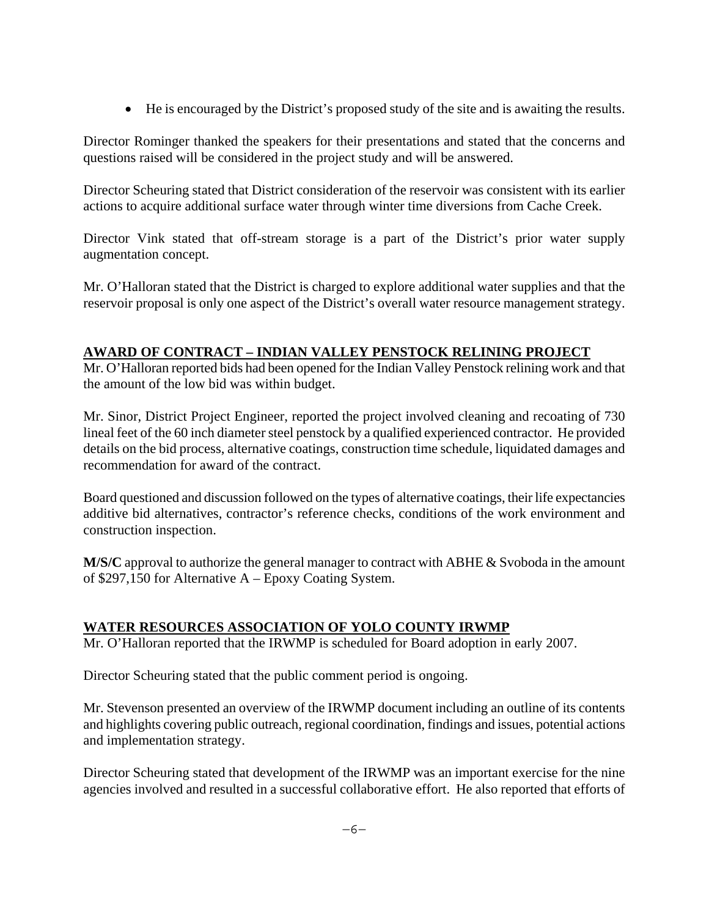He is encouraged by the District's proposed study of the site and is awaiting the results.

Director Rominger thanked the speakers for their presentations and stated that the concerns and questions raised will be considered in the project study and will be answered.

Director Scheuring stated that District consideration of the reservoir was consistent with its earlier actions to acquire additional surface water through winter time diversions from Cache Creek.

Director Vink stated that off-stream storage is a part of the District's prior water supply augmentation concept.

Mr. O'Halloran stated that the District is charged to explore additional water supplies and that the reservoir proposal is only one aspect of the District's overall water resource management strategy.

### **AWARD OF CONTRACT – INDIAN VALLEY PENSTOCK RELINING PROJECT**

Mr. O'Halloran reported bids had been opened for the Indian Valley Penstock relining work and that the amount of the low bid was within budget.

Mr. Sinor, District Project Engineer, reported the project involved cleaning and recoating of 730 lineal feet of the 60 inch diameter steel penstock by a qualified experienced contractor. He provided details on the bid process, alternative coatings, construction time schedule, liquidated damages and recommendation for award of the contract.

Board questioned and discussion followed on the types of alternative coatings, their life expectancies additive bid alternatives, contractor's reference checks, conditions of the work environment and construction inspection.

**M/S/C** approval to authorize the general manager to contract with ABHE & Svoboda in the amount of \$297,150 for Alternative A – Epoxy Coating System.

### **WATER RESOURCES ASSOCIATION OF YOLO COUNTY IRWMP**

Mr. O'Halloran reported that the IRWMP is scheduled for Board adoption in early 2007.

Director Scheuring stated that the public comment period is ongoing.

Mr. Stevenson presented an overview of the IRWMP document including an outline of its contents and highlights covering public outreach, regional coordination, findings and issues, potential actions and implementation strategy.

Director Scheuring stated that development of the IRWMP was an important exercise for the nine agencies involved and resulted in a successful collaborative effort. He also reported that efforts of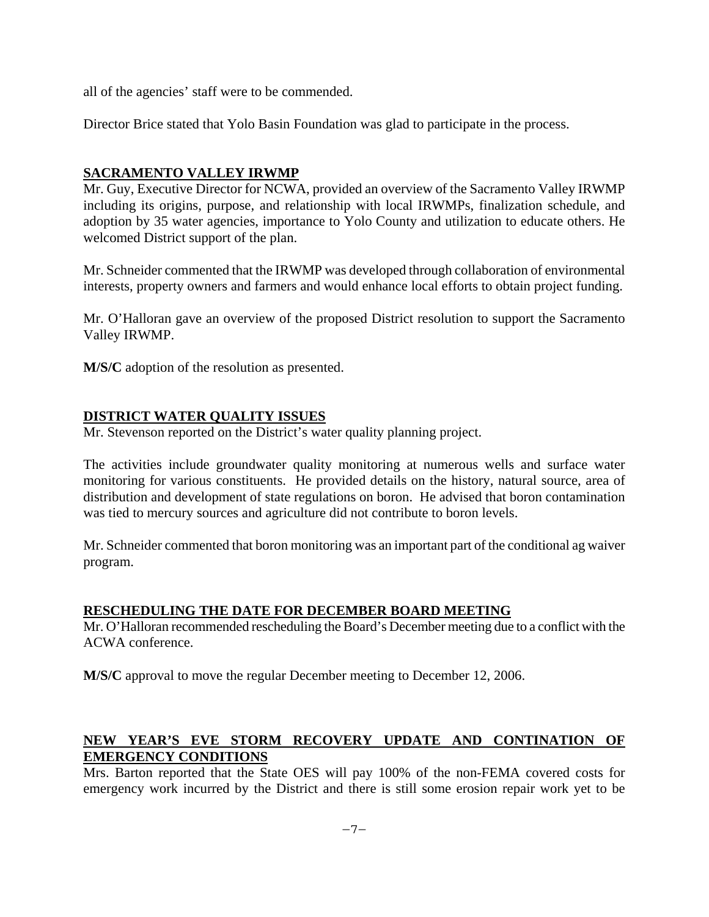all of the agencies' staff were to be commended.

Director Brice stated that Yolo Basin Foundation was glad to participate in the process.

### **SACRAMENTO VALLEY IRWMP**

Mr. Guy, Executive Director for NCWA, provided an overview of the Sacramento Valley IRWMP including its origins, purpose, and relationship with local IRWMPs, finalization schedule, and adoption by 35 water agencies, importance to Yolo County and utilization to educate others. He welcomed District support of the plan.

Mr. Schneider commented that the IRWMP was developed through collaboration of environmental interests, property owners and farmers and would enhance local efforts to obtain project funding.

Mr. O'Halloran gave an overview of the proposed District resolution to support the Sacramento Valley IRWMP.

**M/S/C** adoption of the resolution as presented.

### **DISTRICT WATER QUALITY ISSUES**

Mr. Stevenson reported on the District's water quality planning project.

The activities include groundwater quality monitoring at numerous wells and surface water monitoring for various constituents. He provided details on the history, natural source, area of distribution and development of state regulations on boron. He advised that boron contamination was tied to mercury sources and agriculture did not contribute to boron levels.

Mr. Schneider commented that boron monitoring was an important part of the conditional ag waiver program.

#### **RESCHEDULING THE DATE FOR DECEMBER BOARD MEETING**

Mr. O'Halloran recommended rescheduling the Board's December meeting due to a conflict with the ACWA conference.

**M/S/C** approval to move the regular December meeting to December 12, 2006.

### **NEW YEAR'S EVE STORM RECOVERY UPDATE AND CONTINATION OF EMERGENCY CONDITIONS**

Mrs. Barton reported that the State OES will pay 100% of the non-FEMA covered costs for emergency work incurred by the District and there is still some erosion repair work yet to be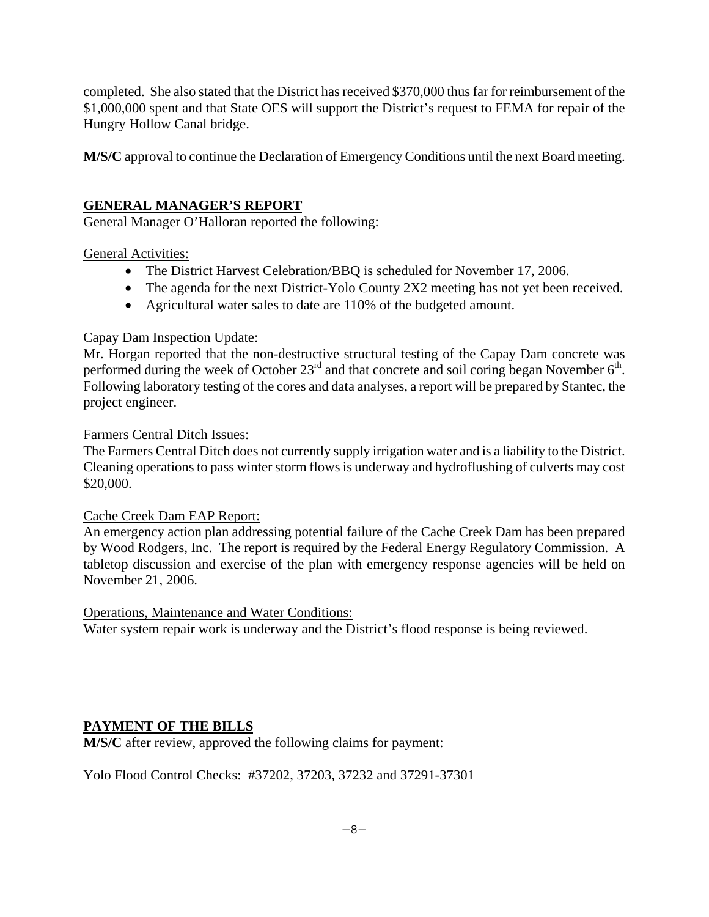completed. She also stated that the District has received \$370,000 thus far for reimbursement of the \$1,000,000 spent and that State OES will support the District's request to FEMA for repair of the Hungry Hollow Canal bridge.

**M/S/C** approval to continue the Declaration of Emergency Conditions until the next Board meeting.

### **GENERAL MANAGER'S REPORT**

General Manager O'Halloran reported the following:

### General Activities:

- The District Harvest Celebration/BBO is scheduled for November 17, 2006.
- The agenda for the next District-Yolo County 2X2 meeting has not yet been received.
- Agricultural water sales to date are 110% of the budgeted amount.

### Capay Dam Inspection Update:

Mr. Horgan reported that the non-destructive structural testing of the Capay Dam concrete was performed during the week of October  $23<sup>rd</sup>$  and that concrete and soil coring began November  $6<sup>th</sup>$ . Following laboratory testing of the cores and data analyses, a report will be prepared by Stantec, the project engineer.

#### Farmers Central Ditch Issues:

The Farmers Central Ditch does not currently supply irrigation water and is a liability to the District. Cleaning operations to pass winter storm flows is underway and hydroflushing of culverts may cost \$20,000.

### Cache Creek Dam EAP Report:

An emergency action plan addressing potential failure of the Cache Creek Dam has been prepared by Wood Rodgers, Inc. The report is required by the Federal Energy Regulatory Commission. A tabletop discussion and exercise of the plan with emergency response agencies will be held on November 21, 2006.

#### Operations, Maintenance and Water Conditions:

Water system repair work is underway and the District's flood response is being reviewed.

### **PAYMENT OF THE BILLS**

**M/S/C** after review, approved the following claims for payment:

Yolo Flood Control Checks: #37202, 37203, 37232 and 37291-37301